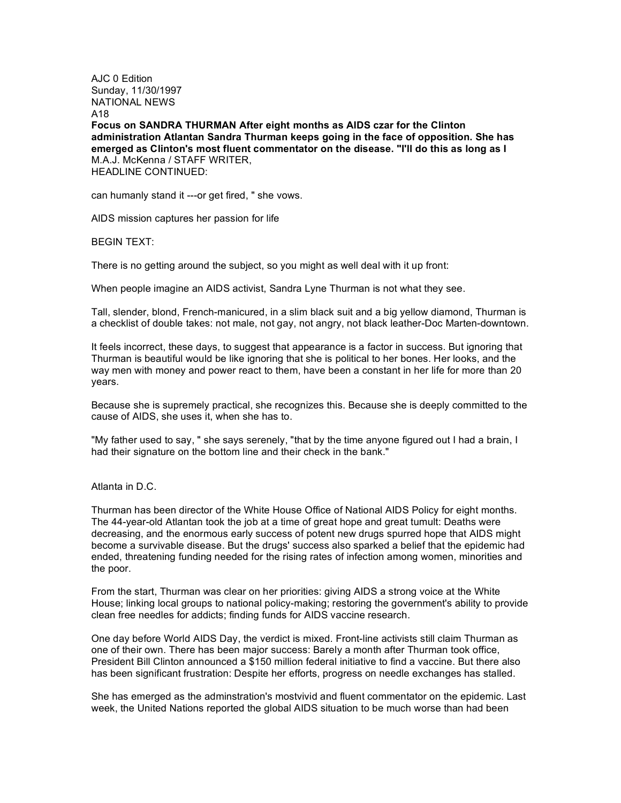AJC 0 Edition Sunday, 11/30/1997 NATIONAL NEWS A18

**Focus on SANDRA THURMAN After eight months as AIDS czar for the Clinton administration Atlantan Sandra Thurman keeps going in the face of opposition. She has emerged as Clinton's most fluent commentator on the disease. "I'll do this as long as I** M.A.J. McKenna / STAFF WRITER, HEADLINE CONTINUED:

can humanly stand it ---or get fired, " she vows.

AIDS mission captures her passion for life

BEGIN TEXT:

There is no getting around the subject, so you might as well deal with it up front:

When people imagine an AIDS activist, Sandra Lyne Thurman is not what they see.

Tall, slender, blond, French-manicured, in a slim black suit and a big yellow diamond, Thurman is a checklist of double takes: not male, not gay, not angry, not black leather-Doc Marten-downtown.

It feels incorrect, these days, to suggest that appearance is a factor in success. But ignoring that Thurman is beautiful would be like ignoring that she is political to her bones. Her looks, and the way men with money and power react to them, have been a constant in her life for more than 20 years.

Because she is supremely practical, she recognizes this. Because she is deeply committed to the cause of AIDS, she uses it, when she has to.

"My father used to say, " she says serenely, "that by the time anyone figured out I had a brain, I had their signature on the bottom line and their check in the bank."

Atlanta in D.C.

Thurman has been director of the White House Office of National AIDS Policy for eight months. The 44-year-old Atlantan took the job at a time of great hope and great tumult: Deaths were decreasing, and the enormous early success of potent new drugs spurred hope that AIDS might become a survivable disease. But the drugs' success also sparked a belief that the epidemic had ended, threatening funding needed for the rising rates of infection among women, minorities and the poor.

From the start, Thurman was clear on her priorities: giving AIDS a strong voice at the White House; linking local groups to national policy-making; restoring the government's ability to provide clean free needles for addicts; finding funds for AIDS vaccine research.

One day before World AIDS Day, the verdict is mixed. Front-line activists still claim Thurman as one of their own. There has been major success: Barely a month after Thurman took office, President Bill Clinton announced a \$150 million federal initiative to find a vaccine. But there also has been significant frustration: Despite her efforts, progress on needle exchanges has stalled.

She has emerged as the adminstration's mostvivid and fluent commentator on the epidemic. Last week, the United Nations reported the global AIDS situation to be much worse than had been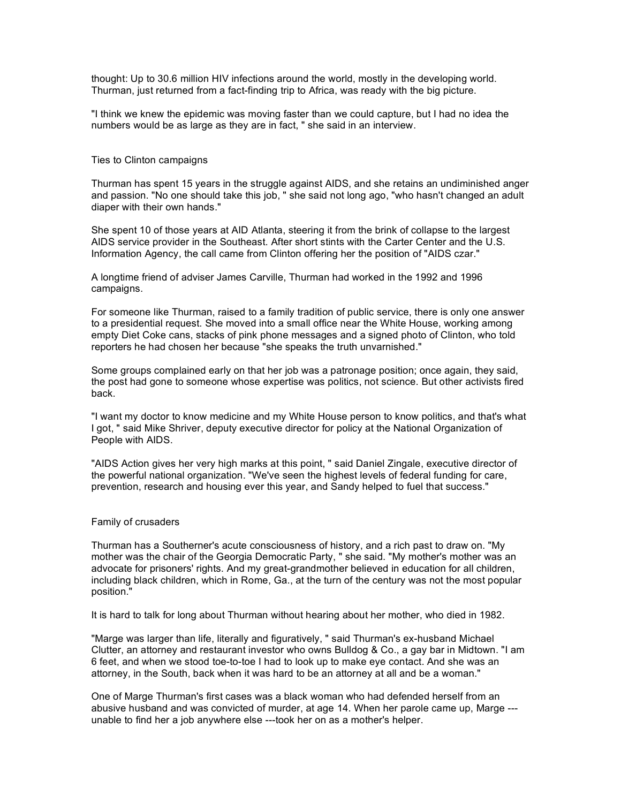thought: Up to 30.6 million HIV infections around the world, mostly in the developing world. Thurman, just returned from a fact-finding trip to Africa, was ready with the big picture.

"I think we knew the epidemic was moving faster than we could capture, but I had no idea the numbers would be as large as they are in fact, " she said in an interview.

## Ties to Clinton campaigns

Thurman has spent 15 years in the struggle against AIDS, and she retains an undiminished anger and passion. "No one should take this job, " she said not long ago, "who hasn't changed an adult diaper with their own hands."

She spent 10 of those years at AID Atlanta, steering it from the brink of collapse to the largest AIDS service provider in the Southeast. After short stints with the Carter Center and the U.S. Information Agency, the call came from Clinton offering her the position of "AIDS czar."

A longtime friend of adviser James Carville, Thurman had worked in the 1992 and 1996 campaigns.

For someone like Thurman, raised to a family tradition of public service, there is only one answer to a presidential request. She moved into a small office near the White House, working among empty Diet Coke cans, stacks of pink phone messages and a signed photo of Clinton, who told reporters he had chosen her because "she speaks the truth unvarnished."

Some groups complained early on that her job was a patronage position; once again, they said, the post had gone to someone whose expertise was politics, not science. But other activists fired back.

"I want my doctor to know medicine and my White House person to know politics, and that's what I got, " said Mike Shriver, deputy executive director for policy at the National Organization of People with AIDS.

"AIDS Action gives her very high marks at this point, " said Daniel Zingale, executive director of the powerful national organization. "We've seen the highest levels of federal funding for care, prevention, research and housing ever this year, and Sandy helped to fuel that success."

## Family of crusaders

Thurman has a Southerner's acute consciousness of history, and a rich past to draw on. "My mother was the chair of the Georgia Democratic Party, " she said. "My mother's mother was an advocate for prisoners' rights. And my great-grandmother believed in education for all children, including black children, which in Rome, Ga., at the turn of the century was not the most popular position."

It is hard to talk for long about Thurman without hearing about her mother, who died in 1982.

"Marge was larger than life, literally and figuratively, " said Thurman's ex-husband Michael Clutter, an attorney and restaurant investor who owns Bulldog & Co., a gay bar in Midtown. "I am 6 feet, and when we stood toe-to-toe I had to look up to make eye contact. And she was an attorney, in the South, back when it was hard to be an attorney at all and be a woman."

One of Marge Thurman's first cases was a black woman who had defended herself from an abusive husband and was convicted of murder, at age 14. When her parole came up, Marge -- unable to find her a job anywhere else ---took her on as a mother's helper.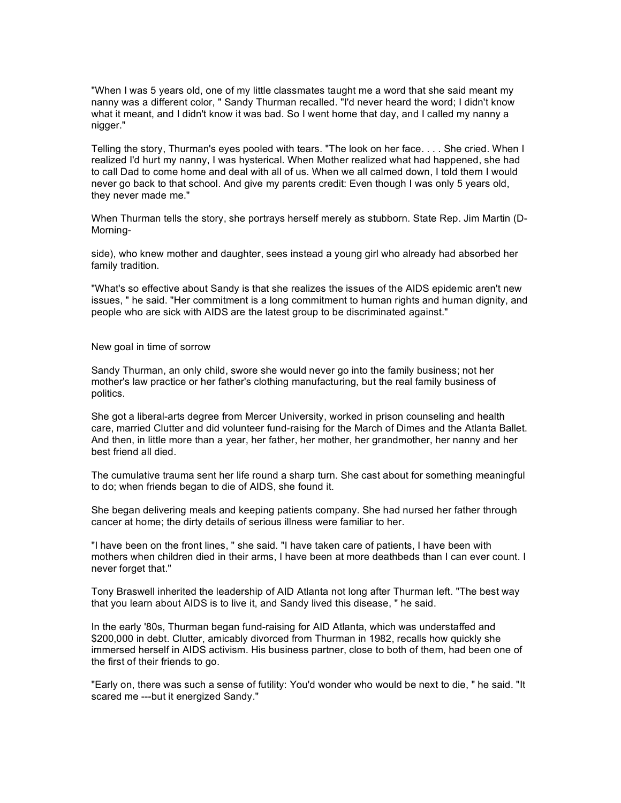"When I was 5 years old, one of my little classmates taught me a word that she said meant my nanny was a different color, " Sandy Thurman recalled. "I'd never heard the word; I didn't know what it meant, and I didn't know it was bad. So I went home that day, and I called my nanny a nigger."

Telling the story, Thurman's eyes pooled with tears. "The look on her face. . . . She cried. When I realized I'd hurt my nanny, I was hysterical. When Mother realized what had happened, she had to call Dad to come home and deal with all of us. When we all calmed down, I told them I would never go back to that school. And give my parents credit: Even though I was only 5 years old, they never made me."

When Thurman tells the story, she portrays herself merely as stubborn. State Rep. Jim Martin (D-Morning-

side), who knew mother and daughter, sees instead a young girl who already had absorbed her family tradition.

"What's so effective about Sandy is that she realizes the issues of the AIDS epidemic aren't new issues, " he said. "Her commitment is a long commitment to human rights and human dignity, and people who are sick with AIDS are the latest group to be discriminated against."

New goal in time of sorrow

Sandy Thurman, an only child, swore she would never go into the family business; not her mother's law practice or her father's clothing manufacturing, but the real family business of politics.

She got a liberal-arts degree from Mercer University, worked in prison counseling and health care, married Clutter and did volunteer fund-raising for the March of Dimes and the Atlanta Ballet. And then, in little more than a year, her father, her mother, her grandmother, her nanny and her best friend all died.

The cumulative trauma sent her life round a sharp turn. She cast about for something meaningful to do; when friends began to die of AIDS, she found it.

She began delivering meals and keeping patients company. She had nursed her father through cancer at home; the dirty details of serious illness were familiar to her.

"I have been on the front lines, " she said. "I have taken care of patients, I have been with mothers when children died in their arms, I have been at more deathbeds than I can ever count. I never forget that."

Tony Braswell inherited the leadership of AID Atlanta not long after Thurman left. "The best way that you learn about AIDS is to live it, and Sandy lived this disease, " he said.

In the early '80s, Thurman began fund-raising for AID Atlanta, which was understaffed and \$200,000 in debt. Clutter, amicably divorced from Thurman in 1982, recalls how quickly she immersed herself in AIDS activism. His business partner, close to both of them, had been one of the first of their friends to go.

"Early on, there was such a sense of futility: You'd wonder who would be next to die, " he said. "It scared me ---but it energized Sandy."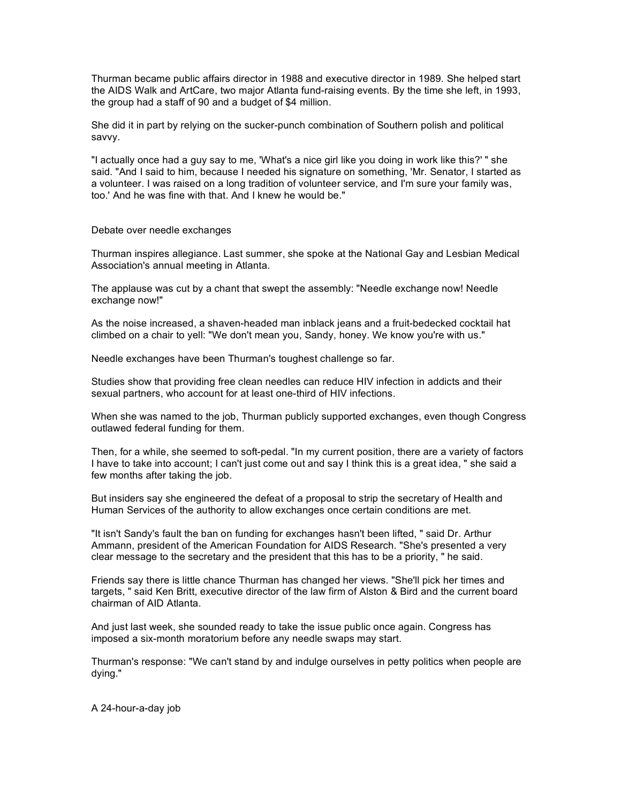Thurman became public affairs director in 1988 and executive director in 1989. She helped start the AIDS Walk and ArtCare, two major Atlanta fund-raising events. By the time she left, in 1993, the group had a staff of 90 and a budget of \$4 million.

She did it in part by relying on the sucker-punch combination of Southern polish and political savvy.

"I actually once had a guy say to me, 'What's a nice girl like you doing in work like this?' " she said. "And I said to him, because I needed his signature on something, 'Mr. Senator, I started as a volunteer. I was raised on a long tradition of volunteer service, and I'm sure your family was, too.' And he was fine with that. And I knew he would be."

Debate over needle exchanges

Thurman inspires allegiance. Last summer, she spoke at the National Gay and Lesbian Medical Association's annual meeting in Atlanta.

The applause was cut by a chant that swept the assembly: "Needle exchange now! Needle exchange now!"

As the noise increased, a shaven-headed man inblack jeans and a fruit-bedecked cocktail hat climbed on a chair to yell: "We don't mean you, Sandy, honey. We know you're with us."

Needle exchanges have been Thurman's toughest challenge so far.

Studies show that providing free clean needles can reduce HIV infection in addicts and their sexual partners, who account for at least one-third of HIV infections.

When she was named to the job, Thurman publicly supported exchanges, even though Congress outlawed federal funding for them.

Then, for a while, she seemed to soft-pedal. "In my current position, there are a variety of factors I have to take into account; I can't just come out and say I think this is a great idea, " she said a few months after taking the job.

But insiders say she engineered the defeat of a proposal to strip the secretary of Health and Human Services of the authority to allow exchanges once certain conditions are met.

"It isn't Sandy's fault the ban on funding for exchanges hasn't been lifted, " said Dr. Arthur Ammann, president of the American Foundation for AIDS Research. "She's presented a very clear message to the secretary and the president that this has to be a priority, " he said.

Friends say there is little chance Thurman has changed her views. "She'll pick her times and targets, " said Ken Britt, executive director of the law firm of Alston & Bird and the current board chairman of AID Atlanta.

And just last week, she sounded ready to take the issue public once again. Congress has imposed a six-month moratorium before any needle swaps may start.

Thurman's response: "We can't stand by and indulge ourselves in petty politics when people are dying."

A 24-hour-a-day job